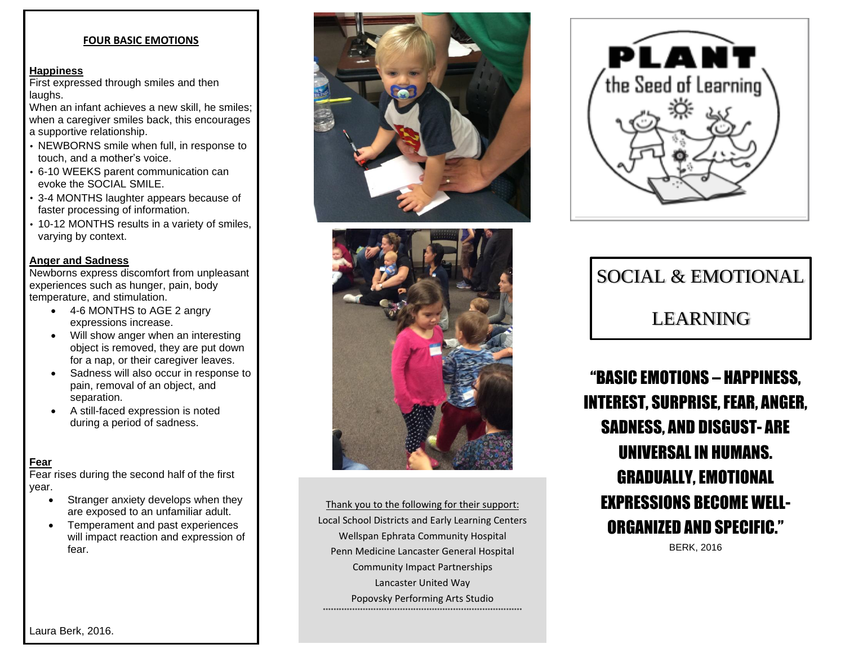#### **FOUR BASIC EMOTIONS**

#### **Happiness**

First expressed through smiles and then laughs.

When an infant achieves a new skill, he smiles; when a caregiver smiles back, this encourages a supportive relationship.

- NEWBORNS smile when full, in response to touch, and a mother's voice.
- 6-10 WEEKS parent communication can evoke the SOCIAL SMILE.
- 3-4 MONTHS laughter appears because of faster processing of information.
- 10-12 MONTHS results in a variety of smiles, varying by context.

#### **Anger and Sadness**

Newborns express discomfort from unpleasant experiences such as hunger, pain, body temperature, and stimulation.

- 4-6 MONTHS to AGE 2 angry expressions increase.
- Will show anger when an interesting object is removed, they are put down for a nap, or their caregiver leaves.
- Sadness will also occur in response to pain, removal of an object, and separation.
- A still-faced expression is noted during a period of sadness.

#### **Fear**

Fear rises during the second half of the first year.

- Stranger anxiety develops when they are exposed to an unfamiliar adult.
- Temperament and past experiences will impact reaction and expression of fear.





Thank you to the following for their support: Local School Districts and Early Learning Centers Wellspan Ephrata Community Hospital Penn Medicine Lancaster General Hospital Community Impact Partnerships Lancaster United Way Popovsky Performing Arts Studio \*\*\*\*\*\*\*\*\*\*\*\*\*\*\*\*\*\*\*\*\*\*\*\*\*\*\*\*\*\*\*\*\*\*\*\*\*\*\*\*\*\*\*\*\*\*\*\*\*\*\*\*\*\*\*\*\*\*\*\*\*\*\*\*\*\*\*\*\*\*\*\*\*\*\*



# SOCIAL & EMOTIONAL LEARNING

"BASIC EMOTIONS – HAPPINESS, **INTEREST, SURPRISE, FEAR, ANGER,** SADNESS, AND DISGUST- ARE UNIVERSALIN HUMANS. GRADUALLY, EMOTIONAL EXPRESSIONS BECOME WELL-ORGANIZED AND SPECIFIC."

BERK, 2016

Laura Berk, 2016.